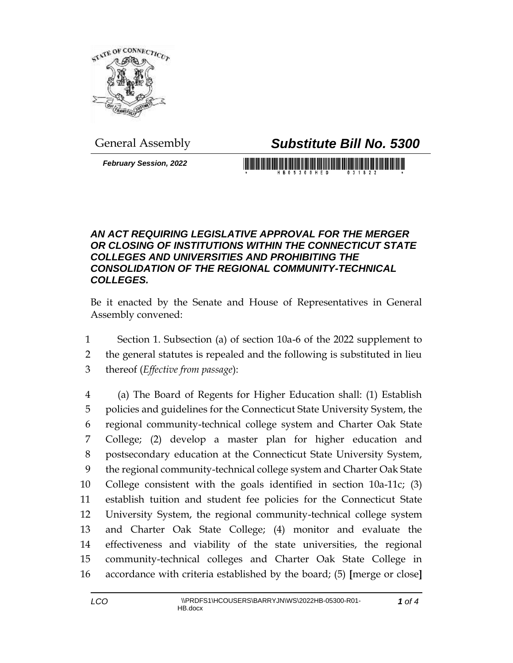

General Assembly *Substitute Bill No. 5300*

*February Session, 2022*

## *AN ACT REQUIRING LEGISLATIVE APPROVAL FOR THE MERGER OR CLOSING OF INSTITUTIONS WITHIN THE CONNECTICUT STATE COLLEGES AND UNIVERSITIES AND PROHIBITING THE CONSOLIDATION OF THE REGIONAL COMMUNITY-TECHNICAL COLLEGES.*

Be it enacted by the Senate and House of Representatives in General Assembly convened:

 Section 1. Subsection (a) of section 10a-6 of the 2022 supplement to the general statutes is repealed and the following is substituted in lieu thereof (*Effective from passage*):

 (a) The Board of Regents for Higher Education shall: (1) Establish policies and guidelines for the Connecticut State University System, the regional community-technical college system and Charter Oak State College; (2) develop a master plan for higher education and postsecondary education at the Connecticut State University System, the regional community-technical college system and Charter Oak State College consistent with the goals identified in section 10a-11c; (3) establish tuition and student fee policies for the Connecticut State University System, the regional community-technical college system and Charter Oak State College; (4) monitor and evaluate the effectiveness and viability of the state universities, the regional community-technical colleges and Charter Oak State College in accordance with criteria established by the board; (5) **[**merge or close**]**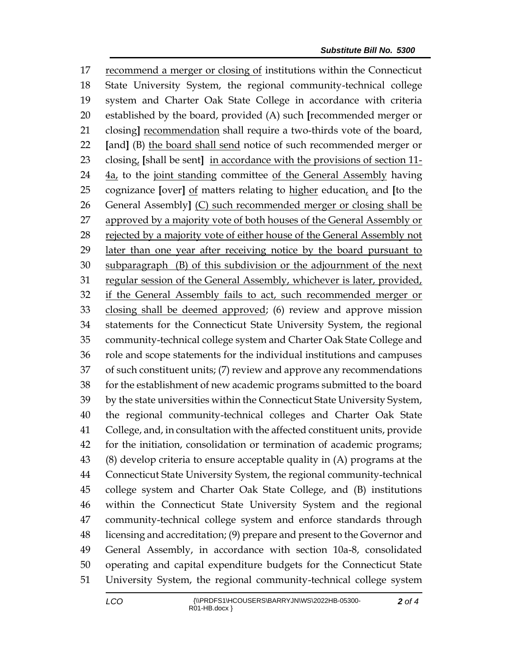recommend a merger or closing of institutions within the Connecticut State University System, the regional community-technical college system and Charter Oak State College in accordance with criteria established by the board, provided (A) such **[**recommended merger or closing**]** recommendation shall require a two-thirds vote of the board, **[**and**]** (B) the board shall send notice of such recommended merger or closing, **[**shall be sent**]** in accordance with the provisions of section 11- 4a, to the joint standing committee of the General Assembly having cognizance **[**over**]** of matters relating to higher education, and **[**to the General Assembly**]** (C) such recommended merger or closing shall be 27 approved by a majority vote of both houses of the General Assembly or rejected by a majority vote of either house of the General Assembly not 29 later than one year after receiving notice by the board pursuant to subparagraph (B) of this subdivision or the adjournment of the next regular session of the General Assembly, whichever is later, provided, if the General Assembly fails to act, such recommended merger or closing shall be deemed approved; (6) review and approve mission statements for the Connecticut State University System, the regional community-technical college system and Charter Oak State College and role and scope statements for the individual institutions and campuses of such constituent units; (7) review and approve any recommendations for the establishment of new academic programs submitted to the board by the state universities within the Connecticut State University System, the regional community-technical colleges and Charter Oak State College, and, in consultation with the affected constituent units, provide for the initiation, consolidation or termination of academic programs; (8) develop criteria to ensure acceptable quality in (A) programs at the Connecticut State University System, the regional community-technical college system and Charter Oak State College, and (B) institutions within the Connecticut State University System and the regional community-technical college system and enforce standards through licensing and accreditation; (9) prepare and present to the Governor and General Assembly, in accordance with section 10a-8, consolidated operating and capital expenditure budgets for the Connecticut State University System, the regional community-technical college system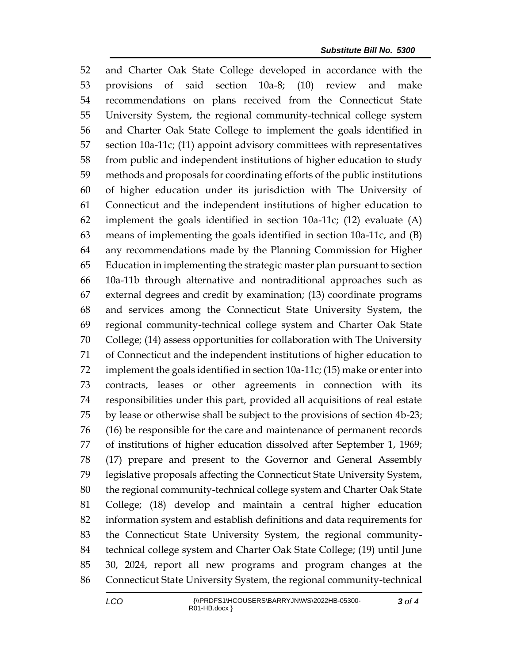and Charter Oak State College developed in accordance with the provisions of said section 10a-8; (10) review and make recommendations on plans received from the Connecticut State University System, the regional community-technical college system and Charter Oak State College to implement the goals identified in section 10a-11c; (11) appoint advisory committees with representatives from public and independent institutions of higher education to study methods and proposals for coordinating efforts of the public institutions of higher education under its jurisdiction with The University of Connecticut and the independent institutions of higher education to implement the goals identified in section 10a-11c; (12) evaluate (A) means of implementing the goals identified in section 10a-11c, and (B) any recommendations made by the Planning Commission for Higher Education in implementing the strategic master plan pursuant to section 10a-11b through alternative and nontraditional approaches such as external degrees and credit by examination; (13) coordinate programs and services among the Connecticut State University System, the regional community-technical college system and Charter Oak State College; (14) assess opportunities for collaboration with The University of Connecticut and the independent institutions of higher education to implement the goals identified in section 10a-11c; (15) make or enter into contracts, leases or other agreements in connection with its responsibilities under this part, provided all acquisitions of real estate by lease or otherwise shall be subject to the provisions of section 4b-23; (16) be responsible for the care and maintenance of permanent records of institutions of higher education dissolved after September 1, 1969; (17) prepare and present to the Governor and General Assembly legislative proposals affecting the Connecticut State University System, the regional community-technical college system and Charter Oak State College; (18) develop and maintain a central higher education information system and establish definitions and data requirements for the Connecticut State University System, the regional community- technical college system and Charter Oak State College; (19) until June 30, 2024, report all new programs and program changes at the Connecticut State University System, the regional community-technical